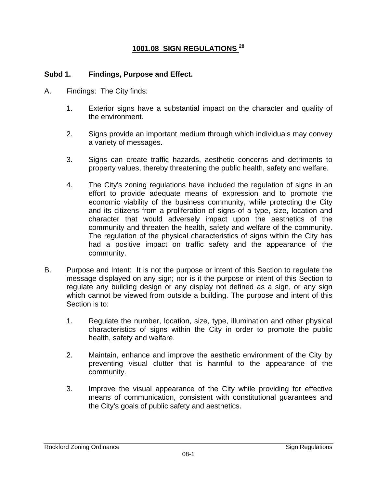# **1001.08 SIGN REGULATIONS 28**

#### **Subd 1. Findings, Purpose and Effect.**

- A. Findings: The City finds:
	- 1. Exterior signs have a substantial impact on the character and quality of the environment.
	- 2. Signs provide an important medium through which individuals may convey a variety of messages.
	- 3. Signs can create traffic hazards, aesthetic concerns and detriments to property values, thereby threatening the public health, safety and welfare.
	- 4. The City's zoning regulations have included the regulation of signs in an effort to provide adequate means of expression and to promote the economic viability of the business community, while protecting the City and its citizens from a proliferation of signs of a type, size, location and character that would adversely impact upon the aesthetics of the community and threaten the health, safety and welfare of the community. The regulation of the physical characteristics of signs within the City has had a positive impact on traffic safety and the appearance of the community.
- B. Purpose and Intent: It is not the purpose or intent of this Section to regulate the message displayed on any sign; nor is it the purpose or intent of this Section to regulate any building design or any display not defined as a sign, or any sign which cannot be viewed from outside a building. The purpose and intent of this Section is to:
	- 1. Regulate the number, location, size, type, illumination and other physical characteristics of signs within the City in order to promote the public health, safety and welfare.
	- 2. Maintain, enhance and improve the aesthetic environment of the City by preventing visual clutter that is harmful to the appearance of the community.
	- 3. Improve the visual appearance of the City while providing for effective means of communication, consistent with constitutional guarantees and the City's goals of public safety and aesthetics.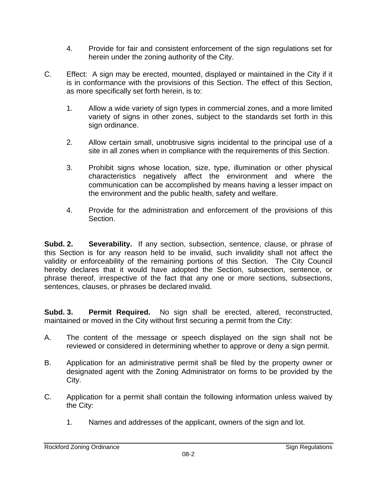- 4. Provide for fair and consistent enforcement of the sign regulations set for herein under the zoning authority of the City.
- C. Effect: A sign may be erected, mounted, displayed or maintained in the City if it is in conformance with the provisions of this Section. The effect of this Section, as more specifically set forth herein, is to:
	- 1. Allow a wide variety of sign types in commercial zones, and a more limited variety of signs in other zones, subject to the standards set forth in this sign ordinance.
	- 2. Allow certain small, unobtrusive signs incidental to the principal use of a site in all zones when in compliance with the requirements of this Section.
	- 3. Prohibit signs whose location, size, type, illumination or other physical characteristics negatively affect the environment and where the communication can be accomplished by means having a lesser impact on the environment and the public health, safety and welfare.
	- 4. Provide for the administration and enforcement of the provisions of this Section.

**Subd. 2. Severability.** If any section, subsection, sentence, clause, or phrase of this Section is for any reason held to be invalid, such invalidity shall not affect the validity or enforceability of the remaining portions of this Section. The City Council hereby declares that it would have adopted the Section, subsection, sentence, or phrase thereof, irrespective of the fact that any one or more sections, subsections, sentences, clauses, or phrases be declared invalid.

**Subd. 3. Permit Required.** No sign shall be erected, altered, reconstructed, maintained or moved in the City without first securing a permit from the City:

- A. The content of the message or speech displayed on the sign shall not be reviewed or considered in determining whether to approve or deny a sign permit.
- B. Application for an administrative permit shall be filed by the property owner or designated agent with the Zoning Administrator on forms to be provided by the City.
- C. Application for a permit shall contain the following information unless waived by the City:
	- 1. Names and addresses of the applicant, owners of the sign and lot.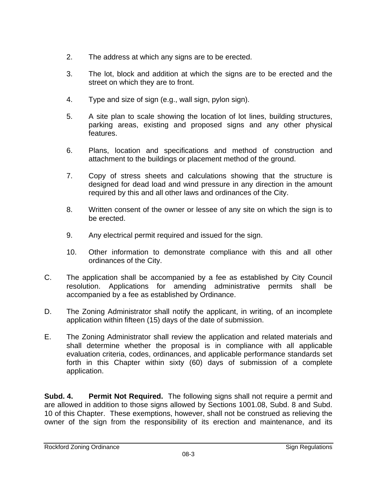- 2. The address at which any signs are to be erected.
- 3. The lot, block and addition at which the signs are to be erected and the street on which they are to front.
- 4. Type and size of sign (e.g., wall sign, pylon sign).
- 5. A site plan to scale showing the location of lot lines, building structures, parking areas, existing and proposed signs and any other physical features.
- 6. Plans, location and specifications and method of construction and attachment to the buildings or placement method of the ground.
- 7. Copy of stress sheets and calculations showing that the structure is designed for dead load and wind pressure in any direction in the amount required by this and all other laws and ordinances of the City.
- 8. Written consent of the owner or lessee of any site on which the sign is to be erected.
- 9. Any electrical permit required and issued for the sign.
- 10. Other information to demonstrate compliance with this and all other ordinances of the City.
- C. The application shall be accompanied by a fee as established by City Council resolution. Applications for amending administrative permits shall be accompanied by a fee as established by Ordinance.
- D. The Zoning Administrator shall notify the applicant, in writing, of an incomplete application within fifteen (15) days of the date of submission.
- E. The Zoning Administrator shall review the application and related materials and shall determine whether the proposal is in compliance with all applicable evaluation criteria, codes, ordinances, and applicable performance standards set forth in this Chapter within sixty (60) days of submission of a complete application.

**Subd. 4. Permit Not Required.** The following signs shall not require a permit and are allowed in addition to those signs allowed by Sections 1001.08, Subd. 8 and Subd. 10 of this Chapter. These exemptions, however, shall not be construed as relieving the owner of the sign from the responsibility of its erection and maintenance, and its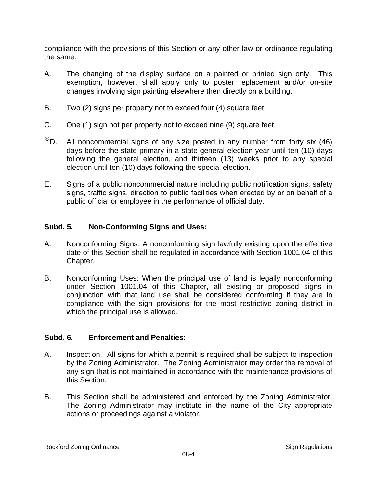compliance with the provisions of this Section or any other law or ordinance regulating the same.

- A. The changing of the display surface on a painted or printed sign only. This exemption, however, shall apply only to poster replacement and/or on-site changes involving sign painting elsewhere then directly on a building.
- B. Two (2) signs per property not to exceed four (4) square feet.
- C. One (1) sign not per property not to exceed nine (9) square feet.
- $33D$ . All noncommercial signs of any size posted in any number from forty six (46) days before the state primary in a state general election year until ten (10) days following the general election, and thirteen (13) weeks prior to any special election until ten (10) days following the special election.
- E. Signs of a public noncommercial nature including public notification signs, safety signs, traffic signs, direction to public facilities when erected by or on behalf of a public official or employee in the performance of official duty.

#### **Subd. 5. Non-Conforming Signs and Uses:**

- A. Nonconforming Signs: A nonconforming sign lawfully existing upon the effective date of this Section shall be regulated in accordance with Section 1001.04 of this Chapter.
- B. Nonconforming Uses: When the principal use of land is legally nonconforming under Section 1001.04 of this Chapter, all existing or proposed signs in conjunction with that land use shall be considered conforming if they are in compliance with the sign provisions for the most restrictive zoning district in which the principal use is allowed.

# **Subd. 6. Enforcement and Penalties:**

- A. Inspection. All signs for which a permit is required shall be subject to inspection by the Zoning Administrator. The Zoning Administrator may order the removal of any sign that is not maintained in accordance with the maintenance provisions of this Section.
- B. This Section shall be administered and enforced by the Zoning Administrator. The Zoning Administrator may institute in the name of the City appropriate actions or proceedings against a violator.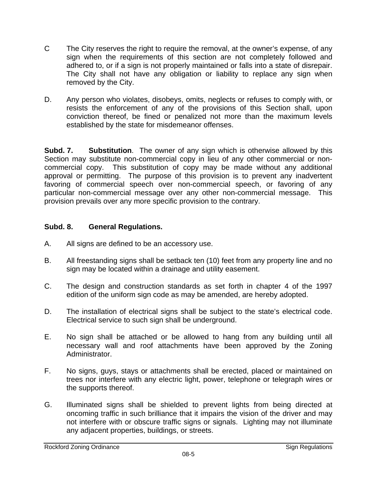- C The City reserves the right to require the removal, at the owner's expense, of any sign when the requirements of this section are not completely followed and adhered to, or if a sign is not properly maintained or falls into a state of disrepair. The City shall not have any obligation or liability to replace any sign when removed by the City.
- D. Any person who violates, disobeys, omits, neglects or refuses to comply with, or resists the enforcement of any of the provisions of this Section shall, upon conviction thereof, be fined or penalized not more than the maximum levels established by the state for misdemeanor offenses.

**Subd. 7. Substitution**.The owner of any sign which is otherwise allowed by this Section may substitute non-commercial copy in lieu of any other commercial or noncommercial copy. This substitution of copy may be made without any additional approval or permitting. The purpose of this provision is to prevent any inadvertent favoring of commercial speech over non-commercial speech, or favoring of any particular non-commercial message over any other non-commercial message. This provision prevails over any more specific provision to the contrary.

# **Subd. 8. General Regulations.**

- A. All signs are defined to be an accessory use.
- B. All freestanding signs shall be setback ten (10) feet from any property line and no sign may be located within a drainage and utility easement.
- C. The design and construction standards as set forth in chapter 4 of the 1997 edition of the uniform sign code as may be amended, are hereby adopted.
- D. The installation of electrical signs shall be subject to the state's electrical code. Electrical service to such sign shall be underground.
- E. No sign shall be attached or be allowed to hang from any building until all necessary wall and roof attachments have been approved by the Zoning Administrator.
- F. No signs, guys, stays or attachments shall be erected, placed or maintained on trees nor interfere with any electric light, power, telephone or telegraph wires or the supports thereof.
- G. Illuminated signs shall be shielded to prevent lights from being directed at oncoming traffic in such brilliance that it impairs the vision of the driver and may not interfere with or obscure traffic signs or signals. Lighting may not illuminate any adjacent properties, buildings, or streets.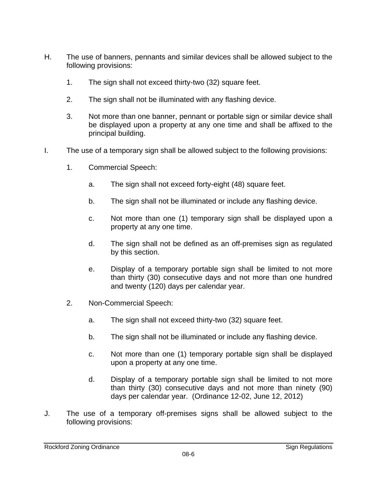- H. The use of banners, pennants and similar devices shall be allowed subject to the following provisions:
	- 1. The sign shall not exceed thirty-two (32) square feet.
	- 2. The sign shall not be illuminated with any flashing device.
	- 3. Not more than one banner, pennant or portable sign or similar device shall be displayed upon a property at any one time and shall be affixed to the principal building.
- I. The use of a temporary sign shall be allowed subject to the following provisions:
	- 1. Commercial Speech:
		- a. The sign shall not exceed forty-eight (48) square feet.
		- b. The sign shall not be illuminated or include any flashing device.
		- c. Not more than one (1) temporary sign shall be displayed upon a property at any one time.
		- d. The sign shall not be defined as an off-premises sign as regulated by this section.
		- e. Display of a temporary portable sign shall be limited to not more than thirty (30) consecutive days and not more than one hundred and twenty (120) days per calendar year.
	- 2. Non-Commercial Speech:
		- a. The sign shall not exceed thirty-two (32) square feet.
		- b. The sign shall not be illuminated or include any flashing device.
		- c. Not more than one (1) temporary portable sign shall be displayed upon a property at any one time.
		- d. Display of a temporary portable sign shall be limited to not more than thirty (30) consecutive days and not more than ninety (90) days per calendar year. (Ordinance 12-02, June 12, 2012)
- J. The use of a temporary off-premises signs shall be allowed subject to the following provisions: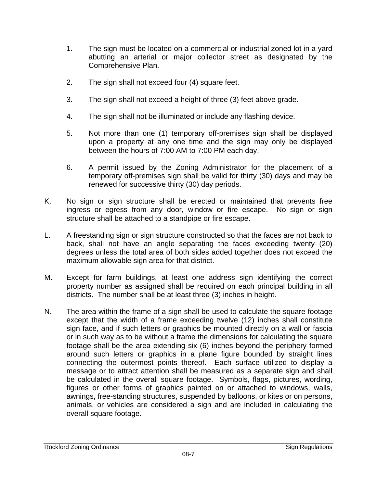- 1. The sign must be located on a commercial or industrial zoned lot in a yard abutting an arterial or major collector street as designated by the Comprehensive Plan.
- 2. The sign shall not exceed four (4) square feet.
- 3. The sign shall not exceed a height of three (3) feet above grade.
- 4. The sign shall not be illuminated or include any flashing device.
- 5. Not more than one (1) temporary off-premises sign shall be displayed upon a property at any one time and the sign may only be displayed between the hours of 7:00 AM to 7:00 PM each day.
- 6. A permit issued by the Zoning Administrator for the placement of a temporary off-premises sign shall be valid for thirty (30) days and may be renewed for successive thirty (30) day periods.
- K. No sign or sign structure shall be erected or maintained that prevents free ingress or egress from any door, window or fire escape. No sign or sign structure shall be attached to a standpipe or fire escape.
- L. A freestanding sign or sign structure constructed so that the faces are not back to back, shall not have an angle separating the faces exceeding twenty (20) degrees unless the total area of both sides added together does not exceed the maximum allowable sign area for that district.
- M. Except for farm buildings, at least one address sign identifying the correct property number as assigned shall be required on each principal building in all districts. The number shall be at least three (3) inches in height.
- N. The area within the frame of a sign shall be used to calculate the square footage except that the width of a frame exceeding twelve (12) inches shall constitute sign face, and if such letters or graphics be mounted directly on a wall or fascia or in such way as to be without a frame the dimensions for calculating the square footage shall be the area extending six (6) inches beyond the periphery formed around such letters or graphics in a plane figure bounded by straight lines connecting the outermost points thereof. Each surface utilized to display a message or to attract attention shall be measured as a separate sign and shall be calculated in the overall square footage. Symbols, flags, pictures, wording, figures or other forms of graphics painted on or attached to windows, walls, awnings, free-standing structures, suspended by balloons, or kites or on persons, animals, or vehicles are considered a sign and are included in calculating the overall square footage.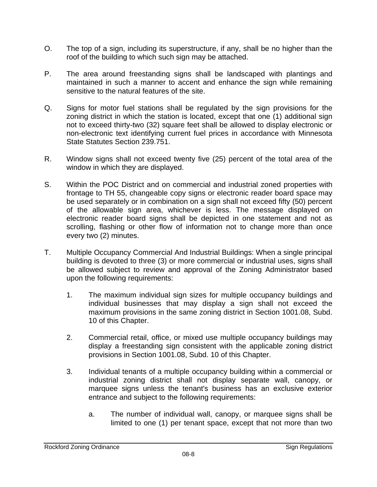- O. The top of a sign, including its superstructure, if any, shall be no higher than the roof of the building to which such sign may be attached.
- P. The area around freestanding signs shall be landscaped with plantings and maintained in such a manner to accent and enhance the sign while remaining sensitive to the natural features of the site.
- Q. Signs for motor fuel stations shall be regulated by the sign provisions for the zoning district in which the station is located, except that one (1) additional sign not to exceed thirty-two (32) square feet shall be allowed to display electronic or non-electronic text identifying current fuel prices in accordance with Minnesota State Statutes Section 239.751.
- R. Window signs shall not exceed twenty five (25) percent of the total area of the window in which they are displayed.
- S. Within the POC District and on commercial and industrial zoned properties with frontage to TH 55, changeable copy signs or electronic reader board space may be used separately or in combination on a sign shall not exceed fifty (50) percent of the allowable sign area, whichever is less. The message displayed on electronic reader board signs shall be depicted in one statement and not as scrolling, flashing or other flow of information not to change more than once every two (2) minutes.
- T. Multiple Occupancy Commercial And Industrial Buildings: When a single principal building is devoted to three (3) or more commercial or industrial uses, signs shall be allowed subject to review and approval of the Zoning Administrator based upon the following requirements:
	- 1. The maximum individual sign sizes for multiple occupancy buildings and individual businesses that may display a sign shall not exceed the maximum provisions in the same zoning district in Section 1001.08, Subd. 10 of this Chapter.
	- 2. Commercial retail, office, or mixed use multiple occupancy buildings may display a freestanding sign consistent with the applicable zoning district provisions in Section 1001.08, Subd. 10 of this Chapter.
	- 3. Individual tenants of a multiple occupancy building within a commercial or industrial zoning district shall not display separate wall, canopy, or marquee signs unless the tenant's business has an exclusive exterior entrance and subject to the following requirements:
		- a. The number of individual wall, canopy, or marquee signs shall be limited to one (1) per tenant space, except that not more than two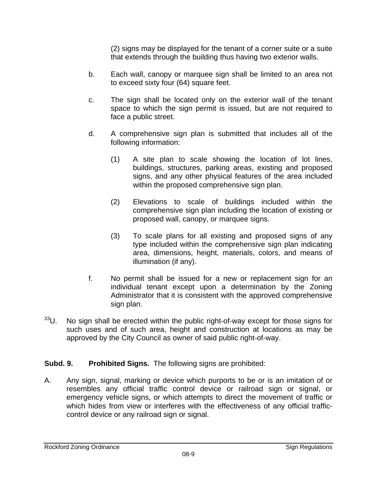(2) signs may be displayed for the tenant of a corner suite or a suite that extends through the building thus having two exterior walls.

- b. Each wall, canopy or marquee sign shall be limited to an area not to exceed sixty four (64) square feet.
- c. The sign shall be located only on the exterior wall of the tenant space to which the sign permit is issued, but are not required to face a public street.
- d. A comprehensive sign plan is submitted that includes all of the following information:
	- (1) A site plan to scale showing the location of lot lines, buildings, structures, parking areas, existing and proposed signs, and any other physical features of the area included within the proposed comprehensive sign plan.
	- (2) Elevations to scale of buildings included within the comprehensive sign plan including the location of existing or proposed wall, canopy, or marquee signs.
	- (3) To scale plans for all existing and proposed signs of any type included within the comprehensive sign plan indicating area, dimensions, height, materials, colors, and means of illumination (if any).
- f. No permit shall be issued for a new or replacement sign for an individual tenant except upon a determination by the Zoning Administrator that it is consistent with the approved comprehensive sign plan.
- <sup>33</sup>U. No sign shall be erected within the public right-of-way except for those signs for such uses and of such area, height and construction at locations as may be approved by the City Council as owner of said public right-of-way.

# **Subd. 9. Prohibited Signs.** The following signs are prohibited:

A. Any sign, signal, marking or device which purports to be or is an imitation of or resembles any official traffic control device or railroad sign or signal, or emergency vehicle signs, or which attempts to direct the movement of traffic or which hides from view or interferes with the effectiveness of any official trafficcontrol device or any railroad sign or signal.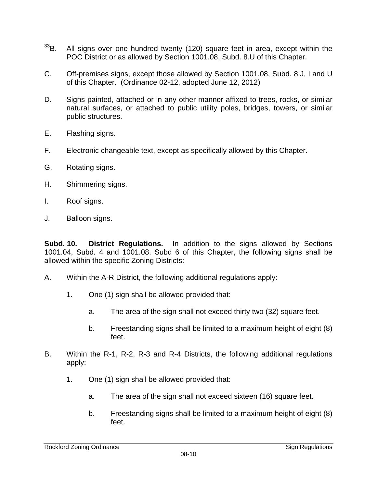- $33B$ . All signs over one hundred twenty (120) square feet in area, except within the POC District or as allowed by Section 1001.08, Subd. 8.U of this Chapter.
- C. Off-premises signs, except those allowed by Section 1001.08, Subd. 8.J, I and U of this Chapter. (Ordinance 02-12, adopted June 12, 2012)
- D. Signs painted, attached or in any other manner affixed to trees, rocks, or similar natural surfaces, or attached to public utility poles, bridges, towers, or similar public structures.
- E. Flashing signs.
- F. Electronic changeable text, except as specifically allowed by this Chapter.
- G. Rotating signs.
- H. Shimmering signs.
- I. Roof signs.
- J. Balloon signs.

**Subd. 10. District Regulations.** In addition to the signs allowed by Sections 1001.04, Subd. 4 and 1001.08. Subd 6 of this Chapter, the following signs shall be allowed within the specific Zoning Districts:

- A. Within the A-R District, the following additional regulations apply:
	- 1. One (1) sign shall be allowed provided that:
		- a. The area of the sign shall not exceed thirty two (32) square feet.
		- b. Freestanding signs shall be limited to a maximum height of eight (8) feet.
- B. Within the R-1, R-2, R-3 and R-4 Districts, the following additional regulations apply:
	- 1. One (1) sign shall be allowed provided that:
		- a. The area of the sign shall not exceed sixteen (16) square feet.
		- b. Freestanding signs shall be limited to a maximum height of eight (8) feet.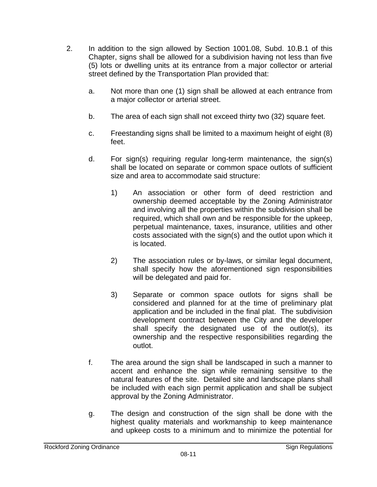- 2. In addition to the sign allowed by Section 1001.08, Subd. 10.B.1 of this Chapter, signs shall be allowed for a subdivision having not less than five (5) lots or dwelling units at its entrance from a major collector or arterial street defined by the Transportation Plan provided that:
	- a. Not more than one (1) sign shall be allowed at each entrance from a major collector or arterial street.
	- b. The area of each sign shall not exceed thirty two (32) square feet.
	- c. Freestanding signs shall be limited to a maximum height of eight (8) feet.
	- d. For sign(s) requiring regular long-term maintenance, the sign(s) shall be located on separate or common space outlots of sufficient size and area to accommodate said structure:
		- 1) An association or other form of deed restriction and ownership deemed acceptable by the Zoning Administrator and involving all the properties within the subdivision shall be required, which shall own and be responsible for the upkeep, perpetual maintenance, taxes, insurance, utilities and other costs associated with the sign(s) and the outlot upon which it is located.
		- 2) The association rules or by-laws, or similar legal document, shall specify how the aforementioned sign responsibilities will be delegated and paid for.
		- 3) Separate or common space outlots for signs shall be considered and planned for at the time of preliminary plat application and be included in the final plat. The subdivision development contract between the City and the developer shall specify the designated use of the outlot(s), its ownership and the respective responsibilities regarding the outlot.
	- f. The area around the sign shall be landscaped in such a manner to accent and enhance the sign while remaining sensitive to the natural features of the site. Detailed site and landscape plans shall be included with each sign permit application and shall be subject approval by the Zoning Administrator.
	- g. The design and construction of the sign shall be done with the highest quality materials and workmanship to keep maintenance and upkeep costs to a minimum and to minimize the potential for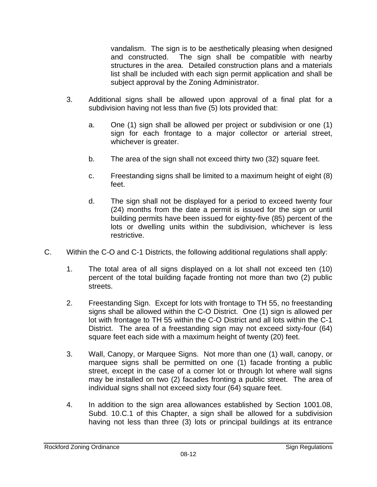vandalism. The sign is to be aesthetically pleasing when designed and constructed. The sign shall be compatible with nearby structures in the area. Detailed construction plans and a materials list shall be included with each sign permit application and shall be subject approval by the Zoning Administrator.

- 3. Additional signs shall be allowed upon approval of a final plat for a subdivision having not less than five (5) lots provided that:
	- a. One (1) sign shall be allowed per project or subdivision or one (1) sign for each frontage to a major collector or arterial street, whichever is greater.
	- b. The area of the sign shall not exceed thirty two (32) square feet.
	- c. Freestanding signs shall be limited to a maximum height of eight (8) feet.
	- d. The sign shall not be displayed for a period to exceed twenty four (24) months from the date a permit is issued for the sign or until building permits have been issued for eighty-five (85) percent of the lots or dwelling units within the subdivision, whichever is less restrictive.
- C. Within the C-O and C-1 Districts, the following additional regulations shall apply:
	- 1. The total area of all signs displayed on a lot shall not exceed ten (10) percent of the total building façade fronting not more than two (2) public streets.
	- 2. Freestanding Sign. Except for lots with frontage to TH 55, no freestanding signs shall be allowed within the C-O District. One (1) sign is allowed per lot with frontage to TH 55 within the C-O District and all lots within the C-1 District. The area of a freestanding sign may not exceed sixty-four (64) square feet each side with a maximum height of twenty (20) feet.
	- 3. Wall, Canopy, or Marquee Signs. Not more than one (1) wall, canopy, or marquee signs shall be permitted on one (1) facade fronting a public street, except in the case of a corner lot or through lot where wall signs may be installed on two (2) facades fronting a public street. The area of individual signs shall not exceed sixty four (64) square feet.
	- 4. In addition to the sign area allowances established by Section 1001.08, Subd. 10.C.1 of this Chapter, a sign shall be allowed for a subdivision having not less than three (3) lots or principal buildings at its entrance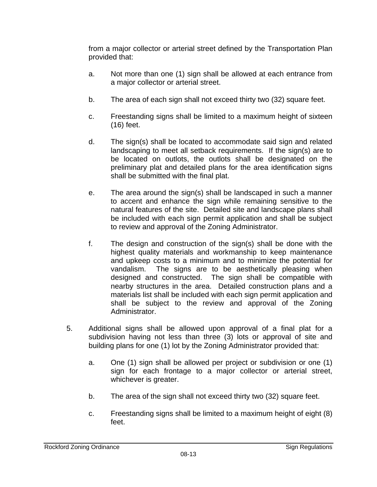from a major collector or arterial street defined by the Transportation Plan provided that:

- a. Not more than one (1) sign shall be allowed at each entrance from a major collector or arterial street.
- b. The area of each sign shall not exceed thirty two (32) square feet.
- c. Freestanding signs shall be limited to a maximum height of sixteen (16) feet.
- d. The sign(s) shall be located to accommodate said sign and related landscaping to meet all setback requirements. If the sign(s) are to be located on outlots, the outlots shall be designated on the preliminary plat and detailed plans for the area identification signs shall be submitted with the final plat.
- e. The area around the sign(s) shall be landscaped in such a manner to accent and enhance the sign while remaining sensitive to the natural features of the site. Detailed site and landscape plans shall be included with each sign permit application and shall be subject to review and approval of the Zoning Administrator.
- f. The design and construction of the sign(s) shall be done with the highest quality materials and workmanship to keep maintenance and upkeep costs to a minimum and to minimize the potential for vandalism. The signs are to be aesthetically pleasing when designed and constructed. The sign shall be compatible with nearby structures in the area. Detailed construction plans and a materials list shall be included with each sign permit application and shall be subject to the review and approval of the Zoning Administrator.
- 5. Additional signs shall be allowed upon approval of a final plat for a subdivision having not less than three (3) lots or approval of site and building plans for one (1) lot by the Zoning Administrator provided that:
	- a. One (1) sign shall be allowed per project or subdivision or one (1) sign for each frontage to a major collector or arterial street, whichever is greater.
	- b. The area of the sign shall not exceed thirty two (32) square feet.
	- c. Freestanding signs shall be limited to a maximum height of eight (8) feet.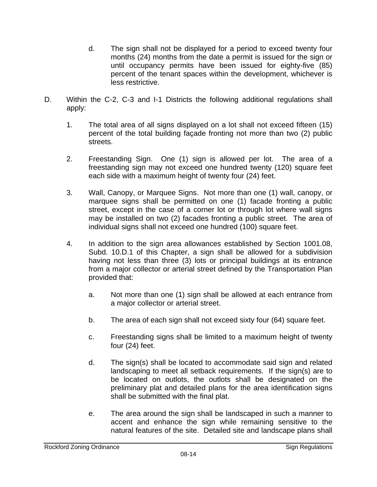- d. The sign shall not be displayed for a period to exceed twenty four months (24) months from the date a permit is issued for the sign or until occupancy permits have been issued for eighty-five (85) percent of the tenant spaces within the development, whichever is less restrictive.
- D. Within the C-2, C-3 and I-1 Districts the following additional regulations shall apply:
	- 1. The total area of all signs displayed on a lot shall not exceed fifteen (15) percent of the total building façade fronting not more than two (2) public streets.
	- 2. Freestanding Sign. One (1) sign is allowed per lot. The area of a freestanding sign may not exceed one hundred twenty (120) square feet each side with a maximum height of twenty four (24) feet.
	- 3. Wall, Canopy, or Marquee Signs. Not more than one (1) wall, canopy, or marquee signs shall be permitted on one (1) facade fronting a public street, except in the case of a corner lot or through lot where wall signs may be installed on two (2) facades fronting a public street. The area of individual signs shall not exceed one hundred (100) square feet.
	- 4. In addition to the sign area allowances established by Section 1001.08, Subd. 10.D.1 of this Chapter, a sign shall be allowed for a subdivision having not less than three (3) lots or principal buildings at its entrance from a major collector or arterial street defined by the Transportation Plan provided that:
		- a. Not more than one (1) sign shall be allowed at each entrance from a major collector or arterial street.
		- b. The area of each sign shall not exceed sixty four (64) square feet.
		- c. Freestanding signs shall be limited to a maximum height of twenty four (24) feet.
		- d. The sign(s) shall be located to accommodate said sign and related landscaping to meet all setback requirements. If the sign(s) are to be located on outlots, the outlots shall be designated on the preliminary plat and detailed plans for the area identification signs shall be submitted with the final plat.
		- e. The area around the sign shall be landscaped in such a manner to accent and enhance the sign while remaining sensitive to the natural features of the site. Detailed site and landscape plans shall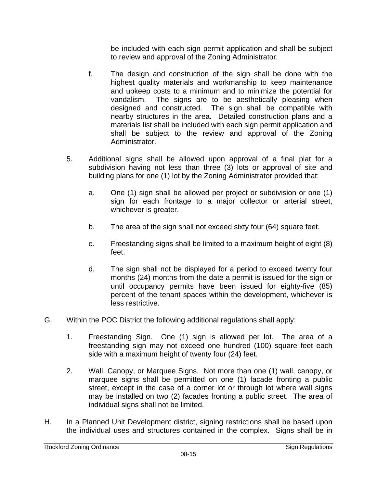be included with each sign permit application and shall be subject to review and approval of the Zoning Administrator.

- f. The design and construction of the sign shall be done with the highest quality materials and workmanship to keep maintenance and upkeep costs to a minimum and to minimize the potential for vandalism. The signs are to be aesthetically pleasing when designed and constructed. The sign shall be compatible with nearby structures in the area. Detailed construction plans and a materials list shall be included with each sign permit application and shall be subject to the review and approval of the Zoning Administrator.
- 5. Additional signs shall be allowed upon approval of a final plat for a subdivision having not less than three (3) lots or approval of site and building plans for one (1) lot by the Zoning Administrator provided that:
	- a. One (1) sign shall be allowed per project or subdivision or one (1) sign for each frontage to a major collector or arterial street, whichever is greater.
	- b. The area of the sign shall not exceed sixty four (64) square feet.
	- c. Freestanding signs shall be limited to a maximum height of eight (8) feet.
	- d. The sign shall not be displayed for a period to exceed twenty four months (24) months from the date a permit is issued for the sign or until occupancy permits have been issued for eighty-five (85) percent of the tenant spaces within the development, whichever is less restrictive.
- G. Within the POC District the following additional regulations shall apply:
	- 1. Freestanding Sign. One (1) sign is allowed per lot. The area of a freestanding sign may not exceed one hundred (100) square feet each side with a maximum height of twenty four (24) feet.
	- 2. Wall, Canopy, or Marquee Signs. Not more than one (1) wall, canopy, or marquee signs shall be permitted on one (1) facade fronting a public street, except in the case of a corner lot or through lot where wall signs may be installed on two (2) facades fronting a public street. The area of individual signs shall not be limited.
- H. In a Planned Unit Development district, signing restrictions shall be based upon the individual uses and structures contained in the complex. Signs shall be in